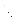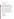|                | AGENCY: ENVIRONMENTAL PROTECTION AGENCY (EPA) |
|----------------|-----------------------------------------------|
| <b>TITLE:</b>  | Local-Scale Air Toxics Ambient Monitoring     |
| <b>ACTION:</b> | Request for Application (RFA)                 |
|                | $RFA NO: OAR-EMAD-05-16$                      |

# **CATALOG OF FEDERAL DOMESTIC ASSISTANCE (CFDA) NO:** 66.034

**DATES:** The closing date for receipt of applications is August 22, 2005, 4:00 p.m. EDT. Applications may be submitted via postal or express overnight mail, or electronically (See Section IV). Applications submitted via postal or express overnight mail must be received in the Program Office by the closing date and time. Electronic applications must be submitted in Microsoft Word, Word Perfect, or PDF format to jones.mike@epa.gov - electronic submissions will be considered timely upon receipt, not transmission. An e-mail response confirming receipt of electronic proposals will be provided. Hand delivery, facsimile and late submissions will not be accepted.

To allow for efficient management of the competitive process, EPA requests submission of an informal notice of "Intent to Apply" by July 22, 2005. Submission of Intent to apply is optional; it is a process management tool that will allow EPA to better anticipate the total staff time required for efficient review, evaluation, and selection of submitted proposals.

**SUMMARY:** This notice announces the availability of funds and solicits applications for projects designed to assist state and local communities in identifying and profiling air toxics sources, developing and assessing emerging measurement methods, characterizing the degree and extent of local air toxics problems, and tracking progress of air toxics reduction activities.

**FUNDING/AWARDS:** The total estimated funding available under this competitive opportunity is approximately \$6,250,000. EPA anticipates award of 15 cooperative agreements resulting from this announcement, subject to availability of funds and the quality of applications received.

# **CONTENTS BY SECTION**

- I. Funding Opportunity Description
- II. Award Information
- III. Eligibility Information
- IV. Application and Submission Information
- V. Application Review Information
- VI. Award Administration Information
- VII. Agency Contacts
- VIII. Other Information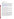#### **Section I - Funding Opportunity Description.**

#### **A. Background**

EPA is soliciting grant applications for demonstration projects designed to assist state and local communities in identifying and profiling air toxics sources, characterizing the degree and extent of local-scale air toxics problems, tracking progress of air toxics reduction activities, and developing and assessing emerging measurement methods. The National Air Toxics Monitoring Program is being developed in conjunction with both the National Ambient Air Monitoring Strategy [\(http://www.epa.gov/ttn/amtic/monitor.html\)](http://www.epa.gov/ttn/amtic/monitor.html), to include the Air Toxics Component [\(http://www.epa.gov/ttn/amtic/airtoxpg.html\)](http://www.epa.gov/ttn/amtic/airtoxpg.html), and the Agency's Urban Air Toxics Strategy [\(http://www.epa.gov/ttn/atw/urban/fr19jy99.pdf\)](http://www.epa.gov/ttn/atw/urban/fr19jy99.pdf). As the air toxics and general ambient air monitoring strategies are further developed, a common set of needs is being addressed on behalf of the ambient air monitoring community.

The National Ambient Air Monitoring Strategy has provided a basic framework under which the air toxics program is well integrated. The linkage to the national strategy is illustrated by two dominant principles that emerged from the national strategy.

First, monitoring programs must have an appropriate balance between national prescriptive measurements (e.g. trends) and more flexibility to address local issues that are not well handled through a national design given the diversity of toxics issues across the nation. The balance between the National Air Toxics Trends Station (NATTS) network and the emerging community monitoring assessments reflects adherence to this principle.

Second, the national strategy is directing a movement toward multiple measurements across numerous pollutant groups, recognizing the fact that most air pollution issues are well integrated from a scientific perspective, and enormous economies of scale are realized from integrating program management efforts across pollutant groups.

While the NATTS program is intended to gather and assess priority Hazardous Air Pollutant (HAP) data on a national scale, a primary objective of this solicitation is to identify and more accurately define the extent of local scale HAP impacts. To meet this objective, consideration of the National Air Toxics Assessment (NATA) in planning and executing the prospective projects is appropriate. NATA is a valuable tool for identifying those air toxics which are of greatest potential concern, in terms of contribution to population risk. The assessment includes compiling a national emissions inventory of air toxics emissions from outdoor sources, estimating population exposures across the contiguous United States, and characterizing potential public health risk due to inhalation of air toxics including both cancer and non-cancer effects. On national and regional scales, NATA found ambient levels for several pollutants at or above inhalation health levels of concern to significant portions of the population. NATA results also indicate significant local risk levels at many communities nationwide.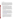#### **B. Scope of Work**

To be considered for funding under this RFA, each project proposal in response to this RFA must be clearly and explicitly designated for inclusion in one, and only one, of the following four categories or bins: source identification and characterization, methods development, methods evaluation and comparison, and community-scale monitoring. An individual agency may submit separate proposals in more than one category. Ideally, the aggregate of projects should provide some typical examples that can be relied upon without duplication by communities in other areas as a basis for initial HAP situation assessments. An example might be characterization of wood smoke that allows for either direct translation of results to other locations or provides directions for similar studies in areas experiencing common problems.

1. Source Identification and Characterization. The objective of this category is to characterize near-source concentrations from specific sources, such as transportation facilities, refineries, or other industry sectors. The emphasis in this category will be to obtain information regarding substantially elevated ambient concentrations of toxics relevant to the source being investigated, including data on the pollutant profiles or source signatures. These measurements assist regulators in their efforts to assess the impact of emission reduction measures (e.g., accountability) and to characterize risk and its causes for the most highly impacted populations. Examples of relevant sources include those related to the Office of Air Quality Planning and Standards Residual Risk and Area Source programs (e.g., coke ovens, dry cleaning operations, wood smoke, gas distribution facilities), as well as on-road and non-road mobile sources (e.g., rails, ports, bus terminals, etc.), and utilities.

2. Methods Development. There exists a clear need for development of new (or improvement of existing) methods for sampling and analysis of select priority HAPs. The list of 25 priority HAPs are those that emerged as national or regional drivers as a result of the 1999 National Air Toxics Assessment; State, Local, and Tribal (SLT) preview at<http://www.epa.gov/ttn/atw/nata1999/>is anticipated during June 2005. HAPs for which methods work is most critical are those which 1) account for a significant contribution to the National risk, and 2) have no approved routine method, or an existing method's detection limit is higher than the concentrations established for one in a million cancer risk or non-cancer hazard quotient of one. This information is available at <http://www.epa.gov/ttn/amtic/airtoxpg.html>in a table entitled "1999 NATA Priority HAPs Monitoring Method Availability."

3. Method Evaluation and Comparison. This category allows for applicants to evaluate available advanced HAP monitoring technologies that can potentially operate on a routine basis. The target result of projects in this category is to ascertain the costeffectiveness and accuracy (i.e., practical value) of existing innovative monitors, samplers, or analytical methods. For example, comparison of different types of differential optical absorption spectroscopy (DOAS) open path equipment, or assessing passive monitoring for VOCs as a cost effective way to capture spatial gradients for exposure modeling, site selection, and design or general characterization of concentrations.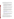4. Community-Scale Monitoring. This category is intended to assist state and local agencies in assessing the degree and extent to which air toxics problems impact their respective communities. Successful proposals will demonstrate a clear and compelling need or justification, examples of which may include:

a. Supporting health effects assessments. The data collected from the National Air Toxics Monitoring Program can in some situations provide a valuable database for health scientists to investigate the relationship of ambient toxic concentrations and health impacts. In some instances opportunities may arise for health studies to be conducted in conjunction with National Air Toxics Monitoring efforts, though direct linkage to an ongoing health study is not a precondition for project selection.

b. Evaluating and improving air quality models that in turn are used for exposure assessments. Air quality models are an important tool for exposure assessments. However, they require supporting observations to instill confidence in model results, or to direct needed improvement in underlying model formulations or related emission inventories.

c. Developing a baseline reference frame of air quality concentrations that support estimates of community exposure and provide the basis for the longer term measuring of progress of a planned emissions strategy program (e.g., characterization of base concentration levels which will inform the Residual Risk assessment process and provide a basis for measuring improvement for promulgated Residual Risk standards).

d. Characterizing pollutants that are not ubiquitous (e.g., ambient /divalent mercury emissions, or pollutants from source categories that will be considered in future residual risk determinations

(http://www.epa.gov/ttn/atw/rrisk/residriskpg.html)), yet present local or regional scale concern.

e. Delineating local scale HAP concentration gradients that are driven by factors such as proximity to, and influence by, sources and other factors unique to particular communities. While gradient delineation isn't a purpose unto itself, it may be an integral part of a larger purpose such as conducting an exposure assessment or source characterization.

#### **C. EPA Strategic Plan Linkage and Anticipated Outcomes/Outputs**

1. Linkage to EPA Strategic Plan. These projects support progress towards EPA Strategic Plan Goal 1 (Clean Air and Global Climate Change), Objective 1.1 (Healthier Outdoor Air), Sub-Objective 1.1.2 (Reduced Risk from Toxic Air Pollutants). These projects support EPA efforts to reduce public exposure to Hazardous Air Pollutants (HAPs) by analyzing data from local-scale ambient air monitoring.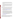2. Outcomes. Through these projects EPA anticipates increased state and local Air Pollution Control Agency (APCA) ability to characterize the sources and local-scale distribution of HAPs, and assess human exposure and risk at a local scale. This increased ability will facilitate APCA adoption of control measures that will reduce HAP emissions and public exposure.

3. Outputs. The anticipated output for these projects are increased public availability of HAP data in a central repository (EPA's Air Quality System Database), source profiles associated with transportation, refineries, and other industry sectors, improved ambient HAP monitoring methods at levels and time intervals useful to exposure and risk assessment professionals, and individual community assessments of air toxics problems.

#### **D. Quality Assurance.**

If selected for award, the applicant will be required to develop and implement an EPA approved Quality System, consisting of systematic procedures and tests that allow the recipient the ability to ascertain the uncertainty of the data. Specifically, the components of a Quality System are:

1. Quality Management Plan (QMP) and a Quality Assurance Project Plan (QAPP). These documents must be approved by the cognizant EPA Regional Office before monitoring can commence. The model QAPP which all recipients must use as their template is available at<http://www.epa.gov/ttn/amtic/airtxfil.html>under the file name "Quality Assurance Document - Quality Assurance Project Plan for the Air Toxics Monitoring Program," EPA-454/R-01-007.

2. Data Quality Objectives (DQOs). The DQOs result from a structured, systematic planning process that provides statements about the expectations and requirements of the data user (such as the risk assessor and/or decision maker). Using a risk assessment example, monitoring being performed to estimate exposure at the neighborhood scale should briefly describe the systematic planning process that was followed to identify the number and types of monitors that will be needed to spatially estimate exposure across the study area as well as the number and types of samples collected at those monitors that are needed to estimate exposure temporally (including requirements for assessing chronic exposures, acute exposures, or both), within specified limits of uncertainty. The DQO process is described in document EPA/600/R-96-055, available at [http://www.epa.gov/quality/qa\\_docs.html.](http://www.epa.gov/quality/qa_docs.html)

#### **E. Supplementary Information.**

The statutory authority for this action is Clean Air Act, Section 103(b)(3) which authorizes the award of grants for research, investigations, experiments, demonstrations, surveys, and studies related to ambient air monitoring, specifically local-scale efforts to better characterize the distribution and sources of hazardous air pollutants, as well as improved ambient air monitoring methods to achieve characterization and human exposure assessment goals.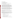# **Section II - Award Information.**

# **A. What is the amount of funding available?**

The total estimated funding expected to be available for awards under this competitive opportunity is approximately \$6,250,000.

# **B. How many agreements will EPA award in this competition?**

EPA anticipates award of approximately 15 cooperative agreements resulting from this announcement of between \$50,000 to \$500,000 total funding per agreement. Anticipated approximate funding allocations by category or bin, as described in Section I, Part B, are \$2,000,000 for source identification and characterization, \$750,000 for methods development, \$750,000 for methods evaluation and comparison, and \$2,750,000 for community-scale monitoring. The number and amount of awards, and projected categorical funding allocations, are subject to both funds availability and the quality of proposals submitted.

EPA reserves the right to partially fund proposals/applications by funding discrete activities, portions, or phases of the proposed project. If EPA decides to partially fund the proposal/application, it will do so in a manner that does not prejudice any applicants or affect the basis upon which the proposal/application, or portion thereof, was evaluated and selected for award, and that maintains the integrity of the competition and the evaluation/selection process.

EPA will not incrementally fund any awards resulting from this competition.

EPA reserves the right to make additional awards under this RFA if additional funding materializes. Any additional selections for awards will be made no later than 6 months after the original selection decisions.

The awards resulting from this solicitation will be in the form of cooperative agreements, thus allowing for substantial involvement between the EPA Project Officer and the selected applicants in the performance of the work supported. Although EPA will negotiate precise terms and conditions relating to substantial involvement as part of the award process, the anticipated substantial Federal involvement for this project will include:

1. close monitoring of the successful applicant's performance to verify the results proposed by the applicant;

- 2. collaboration during performance of the scope of work;
- 3. approving substantive terms of proposed contracts;

4. approving qualifications of key personnel (EPA will not select employees or contractors employed by the award recipient);

5. review and comment on reports prepared under the cooperative agreement (the final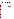decision on the content of reports rests with the recipient).

### **C. What is the project period for awards resulting from this solicitation?**

The estimated project period for awards resulting from this solicitation is 18-24 months. All projects must be completed within the negotiated project performance period.

#### **D. Are matching funds required?**

No.

# **E. Can funding be used to acquire services or fund other partnerships?**

Funding may be used to acquire services or fund partnerships, provided the recipient follows procurement and sub-award or sub-grant procedures contained in 40 CFR Parts 30 or 31, as applicable. Successful applicants must compete contracts for services and products and conduct cost and price analyses to the extent required by these regulations. The regulations also contain limitations on consultant compensation. Applicants are not required to identify contractors or consultants in their proposal, but must indicate the portion of the proposed work that will be performed by contractors / consultants, and by any partnering agency. Moreover, the fact that a successful applicant has named a specific contractor or consultant in the proposal EPA approves does not relieve it of its obligations to comply with competitive procurement requirements.

Subgrants or sub-awards may be used to fund partnerships with universities, non-profit organizations, or another eligible entity as described in Section III. Successful applicants cannot use subgrants or sub-awards to avoid requirements in EPA grant regulations for competitive procurement by using these instruments to acquire commercial services or products to carry out its cooperative agreement. The nature of the transaction between the recipient and the subgrantee must be consistent with the standards for distinguishing between vendor transactions and subrecipient assistance under Subpart B Section .210 of OMB Circular A-133, and the definitions of "subaward" at 40 CFR 30.2(ff) or "subgrant" at 40 CFR 31.3, as applicable. EPA will not be a party to these transactions.

# **Section III - Eligibility Information.**

#### **A. Eligible Entities.**

State, Local, and Federally-Recognized Indian Tribal Agencies are eligible to apply.

# **B. Cost Effectiveness.**

While cost matching is not required, applicants proposing cost-effective programs which leverage federal resources through a voluntary financial or in-kind commitment of resources may improve their scoring under the applicable evaluation criterion of this RFA. (Refer to Section V(A), Evaluation Criteria).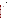#### **Section IV - Application and Submission Information.**

#### **A. How to Obtain Application Package.**

The complete grants application package can be downloaded from EPA's Office of Grants and Debarment website at: [\(http://www.epa.gov/ogd/grants/how\\_to\\_apply.htm\)](http://www.epa.gov/ogd/grants/how_to_apply.htm).

#### **B. Content and Form of Application Submission.**

Please note that only the signed Standard Form 424 "Application for Federal Assistance" (one page) needs to be included in the application, along with the narrative portion of the application (work plan and budget). If the application is selected for funding, the entire grants package will need to be completed.

Applications must contain the following information, preferably in the sequential order shown:

1. SF-424 Application for Federal Assistance (with original signature)

2. Narrative Workplan. This document, a maximum of 12 pages in length, must conform to the following outline:

a. Project Title.

b. Category. Each project proposal must be clearly and explicitly designated for inclusion in one, and only one, of the four categories or bins defined in Section I, Part B of this solicitation. Project proposals designated for more than one category / bin will not be considered for award.

c. Applicant Information. Include applicant (organization) name, address, contact person, phone number, fax and e-mail address.

d. Funding Requested. Specify the amount you are requesting from EPA. e. Total Project Cost. Specify total cost of the project (EPA funding and

cost-share). Identify funding from other sources including any in-kind resources. f. Project period. Provide beginning and ending dates (for planning purposes, applicants should assume funds will be available in October 2005).

g. Explicit description of how the proposed project meets the category-specific guidelines established in Section I, Part B, Scope of Work, to include:

1. a detailed project summary, description of specific actions and methods to be undertaken and the responsible institutions, including estimated time line for each task;

2. the associated work products to be developed;

3. an explanation of project benefits to the public;

4. an explanation of how project outcomes (e.g., source and local-scale ambient HAP characterization) will be transferable / applicable to other like scenarios in different locations;

5. a plan for tracking and measuring progress toward achieving the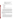expected environmental outputs/outcomes identified in Section I of this announcement;

- 6. an explanation of how project success will be evaluated;
- 7. a description of the roles of the applicant and partners, if any;
- 8. biographical information of the key personnel.
- 9. to the extent not covered above, information to address the ranking factors listed in Section V.

3. Detailed Itemized Budget. Provide a budget for the following categories, specifying unit costs:

- a. Personnel
- b. Fringe Benefits
- c. Contractual Costs
- d. Travel
- e. Equipment
- f. Supplies
- g. Other
- h. Total Direct Costs
- i. Total Indirect Costs: must include documentation of accepted indirect rate
- j. Total Cost

4. Quality Assurance Narrative:The applicant should provide a short narrative on how their agency will implement the requisite Quality System (an EPA approved Quality System is discussed briefly in Section I, Part D of this solicitation). The applying agency must state clearly that a Quality System will be implemented and that the Quality System will be described in detail in their quality documentation (i.e., QMP and QAPP). If an applying agency is performing existing monitoring, the agency must state clearly that it will develop the quality documentation to include the project, if selected for award.

Applicants are strongly advised to avoid submission of superfluous materials. Pages exceeding the maximum length specified above for the narrative workplan will not be considered. The maximum page length for the narrative workplan shall include any pieces that may be submitted by a third party (e.g., references or letters confirming commitments). All application materials must be completed in English and presented in a clear and readable font size to be considered for award under this solicitation.

#### **C. Submission Dates and Times.**

1. To allow for efficient management of the competitive process, EPA requests eligible entities submit an informal notice of "Intent to Apply" by July 22, 2005, to the agency contact identified under Section VII, Agency Contact. Submission of Intent to apply is optional; it is a process management tool that will allow EPA to better anticipate the total staff time required for efficient review, evaluation, and selection of submitted proposals. Eligible entities not submitting "Intent to Apply" are still eligible to apply by the deadline. The written notice of "Intent to Apply" may be submitted via electronic mail. Please provide the name of your organization, a point of contact, phone number, email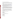address, the project title, and corresponding category / bin.

2. The deadline for submission of completed application packages is 4 p.m. EDT on August 22, 2005. All application packages must be received in the program office listed below by the deadline. Applications received after the deadline will not be considered for funding.

3. Applications may be submitted by postal or overnight express mail (see no. 5 below), or electronically. If submitted electronically, the electronic application must be submitted in Microsoft Word, Word Perfect, or PDF format to: jones.mike@epa.gov. Applications will be considered timely upon receipt, not transmission. An e-mail response confirming receipt of electronic applications will be provided. Note that hand delivery and facsimile applications will not be accepted.

4. **Confidential Business Information.** In accordance with 40 CFR 2.203, applicants may claim all or a portion of their application/proposal as confidential business information. EPA will evaluate confidential claims in accordance with 40 CFR Part 2. Applicants must clearly mark applications/proposals or portions of applications/proposals they claim as confidential. If no claim of confidentiality is made, EPA is not required to make the inquiry to the applicant otherwise required by 40 CFR 2.204 (c)(2) prior to disclosure.

5. Because of the unique situation involving U.S. mail screening, EPA highly recommends that applicants who do not submit their application electronically use an express mail option to submit their applications. Please provide original proposal and four copies - no binders or spiral binding - plus one signed and completed application should be addressed to:

Regular Mail Delivery Address (U.S. Postal Service)

Michael N. Jones U.S. EPA (D243-02) EMAD/AAMG Research Triangle Park, NC 27711

Express Delivery Address (FedEx, UPS, DHL, etc.)

Michael N. Jones U.S. EPA (D243-02) 4930 Page Road Durham, NC 27703

Phone: (919) 541-0528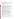# **Section V - Application Review Information.**

Each eligible application will be evaluated according to the criteria set forth below. Applications which are best able to directly and explicitly address these criteria will have a greater likelihood of being selected for award. Each application will be rated under a points system, with a total of 100 points possible, and be evaluated based on the following criteria:

# **A. Evaluation Criteria.**

| Criteria                                                                                                                                                                                                                                                                                                                                                                                                                                                                                                       | Points |  |
|----------------------------------------------------------------------------------------------------------------------------------------------------------------------------------------------------------------------------------------------------------------------------------------------------------------------------------------------------------------------------------------------------------------------------------------------------------------------------------------------------------------|--------|--|
| Narrative Workplan. Other than those items explicitly addressed below (e.g.,<br>project outcome transferability, plan for tracking / measuring progress, etc.), to<br>what degree does the applicant comply with the content requirements specified<br>in Section IV, Part B of this solicitation? These items will be evaluated in<br>terms of both content and descriptive quality rendered.                                                                                                                 | 20     |  |
| Background / Basis. To what extent has the applicant demonstrated familiarity<br>with related prior / ongoing work? Has that information been appropriately<br>considered in developing the proposal?                                                                                                                                                                                                                                                                                                          | 10     |  |
| Description of Objectives. How well does the applicant describe the particular<br>situation the proposed study is intended to address, the objectives of the study,<br>and whether their proposed monitoring network/project design will enable them<br>to achieve the study objectives?                                                                                                                                                                                                                       |        |  |
| High Priority HAPs. To what extent does the applicant's proposed work<br>address those HAPs, or an appropriate subset thereof, identified in the 1999<br>NATA as National and/or Regional drivers?                                                                                                                                                                                                                                                                                                             |        |  |
| Data Analysis. Has the applicant well-described the data analysis plan,<br>including information on how the study design will support the data analysis<br>objective(s), and how the data analysis will be used? Potential data analyses<br>include source apportionment / source signature identification, exposure<br>assessment / risk characterization, evaluation of new or emerging monitoring<br>method utility and practical value, model evaluation and improvement, risk<br>mitigation efforts, etc. |        |  |
| <b>Transferability.</b> To what extent does the proposed project's expected<br>outcome(s) have potential for transferability / applicability to other like<br>scenarios in different locations?                                                                                                                                                                                                                                                                                                                |        |  |
| Qualifications. To what degree does the applicant agency (and/or its' partners,<br>if applicable) possess direct, relevant expertise in performing the proposed<br>work?                                                                                                                                                                                                                                                                                                                                       |        |  |
| Quality Assurance Narrative. To what degree does the applicant describe their<br>intent and plan to implement a Quality System (Section IV, Part B, Item 4 of<br>this solicitation)?                                                                                                                                                                                                                                                                                                                           |        |  |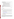| Leveraging of Other Resources.<br>Does the applicant's project plan incorporate additional resources beyond the<br>requested funding? For example:<br>Use of measurements from PM, ozone, Photochemical Assessment<br>$\overline{\phantom{0}}$<br>Monitoring Stations (PAMS), or NATTS, to assist in interpreting air<br>toxics source-receptor and other characterization needs.<br>Use of staff expertise, community support, other funding.<br>Cooperation with concurrent studies (e.g., other ambient monitoring<br>programs or exposure or health studies) that could be leveraged to<br>enhance project results. | 8 |
|-------------------------------------------------------------------------------------------------------------------------------------------------------------------------------------------------------------------------------------------------------------------------------------------------------------------------------------------------------------------------------------------------------------------------------------------------------------------------------------------------------------------------------------------------------------------------------------------------------------------------|---|
| <b>EPA Strategic Plan Linkage and Anticipated Outcomes/Outputs:</b> Has the<br>applicant identified an effective plan for tracking and measuring progress<br>toward achieving expected outputs and outcomes identified in Section I of this<br>announcement?                                                                                                                                                                                                                                                                                                                                                            |   |
| Total                                                                                                                                                                                                                                                                                                                                                                                                                                                                                                                                                                                                                   |   |

# **B. Other Factors.**

In addition to evaluating applications against the evaluation factors detailed in Section V (A), Evaluation Criteria, in making selection recommendations EPA may also consider the following factors:

1. Capacity building – whether the applicant proposes to retain a large fraction of the project budget within their agency or a partner air pollution agency, the extent of air toxics monitoring infrastructure the applicant possesses, and whether the applicant has received recent supplemental funding.

2. Community-scale monitoring proposals for areas deemed as high risk per the 1999 NATA [\(http://www.epa.gov/ttn/atw/nata/\)](http://www.epa.gov/ttn/atw/nata/);

3. Geographic dispersion (i.e., the value added of a proposed project in relation to the aggregate to minimize redundant efforts nationwide and within Regions, and optimize total value of the program).

# **C. Review and Selection Process.**

Each application will be evaluated by a team chosen to address the range of activities associated with air toxics monitoring, in particular relative to the proposal categories cited in Section I, Part D (Scope of Work). The evaluation will be based solely on the selection criteria disclosed in this announcement.. The highest numerically-ranked proposal(s), *subject to availability of funds and based on the consideration, if any, of the factors disclosed in Section V, Part B (Other Factors),* will be recommended for award.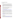# **Section VI - Award Administration Information.**

# **A. Award Notices.**

Following final selections, all applicants will be notified regarding their application's status.

1. EPA anticipates notification to successful applicant(s) will be made via telephone, electronic or postal mail within 15 calendar days of the selection decision. This notification, which advises that the applicant's proposal has been selected and is being recommended for award, is not an authorization to begin performance. The award notice signed by the EPA grants officer is the authorizing document and will be provided through postal mail. At a minimum, this process can take up to 60 days from the date of selection.

2. EPA anticipates notification to unsuccessful applicant(s) will be made via electronic or postal mail within 15 calendar days of the selection decision. In either event, the notification will be sent to the original signer of the application.

# **B. Administrative and National Policy Requirements.**

1. A listing and description of general EPA Regulations applicable to the award of assistance agreements may be viewed at: [http://www.epa.gov/ogd/AppKit/applicable\\_epa\\_regulations\\_and\\_description.htm](http://www.epa.gov/ogd/AppKit/applicable_epa_regulations_and_description.htm)

2. Executive Order 12372, Intergovernmental Review of Federal Programs, may be applicable to awards resulting from this announcement. Applicants selected for funding may be required to provide a copy of their proposal to their State Point of Contact (SPOC) for review, pursuant to Executive Order 12372, Intergovernmental Review of Federal Programs. This review is not required with the Initial Proposal and not all states require such a review.

3. All applicants are required to provide a Dun and Bradstreet (D&B) Data Universal Numbering System (DUNS) number when applying for a Federal grant or cooperative agreement. Applicants can receive a DUNS number, at no cost, by calling the dedicated toll-free DUNS Number request line at 1-866-705-5711, or visiting the D&B website at: [http://www.dnb.com.](http://www.dnb.com)

4. Programmatic Terms and conditions will be negotiated with the selected applicants.

# **C. Reporting Requirement.**

1. Quality assured ambient monitoring data must be reported to the EPA's Air Quality System (AQS) Database [\(http://www.epa.gov/ttn/airs/airsaqs/index.htm\)](http://www.epa.gov/ttn/airs/airsaqs/index.htm) on a quarterly schedule within 120 days of completing a data collection quarter. For example, if data collection begins on February 15, the first data collection quarter is complete on May 15,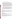and quality assured data is due to AQS by September 15.

2. Quarterly progress reports and a detailed final report will be required. Quarterly reports will summarize technical progress, planned activities for next quarter and summary of expenditures. The schedule for submission of quarterly reports will be established by EPA, after award. The Final report shall be completed within 90 calendar days of the completion of the period of performance. The Project Officer may require clarifications of the final report before the report is considered acceptable. Although there are no page restrictions on the final report, EPA does not expect a final report of great length. However, this document should include a discussion of 1) project activities over the entire period of funding, describing the recipient's achievements with respect to the stated project purposes and objectives, and 2) complete details of all technical aspects of the project, both negative and positive, the recipient's findings, conclusions, and results, including the associated quality assurance results.

3. While the Agency will negotiate precise terms and conditions relating to substantial involvement as part of the award process, EPA expects to closely monitor the successful applicant(s) performance, collaborate during the performance of the scope of work, approve the substantive terms of proposed contracts, approve the qualifications of key personnel, review and comment on reports prepared under the cooperative agreement, and evaluate the engineering improvements on an EPA demonstration project. EPA will not select employees or contractors employed by the recipient(s).

# **D. Disputes.**

Assistance agreement competition-related disputes will be resolved in accordance with the dispute resolution procedures published in 70 FR (Federal Register) 3629,3630 (January 26, 2005) located on the web at:

http://a257.g.akamaitech.net/7/257/2422/01jan20051800/edocket.access.gpo.gov/2005/05- 1371.htm. Copies of these procedures may also be requested by contacting Michael Jones at 919-541-0528.

# **Section VII - Agency Contact.**

FOR FURTHER INFORMATION CONTACT: Michael N. Jones, Office of Air Quality Planning and Standards, Emissions Monitoring and Analysis Division, Ambient Air Monitoring Group, (919) 541-0528, jones.mike@epa.gov.

All questions or comments must be communicated in writing via postal or express mail, facsimile, or electronic mail to the contact person listed above. Answers will be posted, weekly, until the closing date of this announcement at the OAR Grants/Funding webpage [\(http://www.epa.gov/air/grants\\_funding.html](http://www.epa.gov/air/grants_funding.html)).